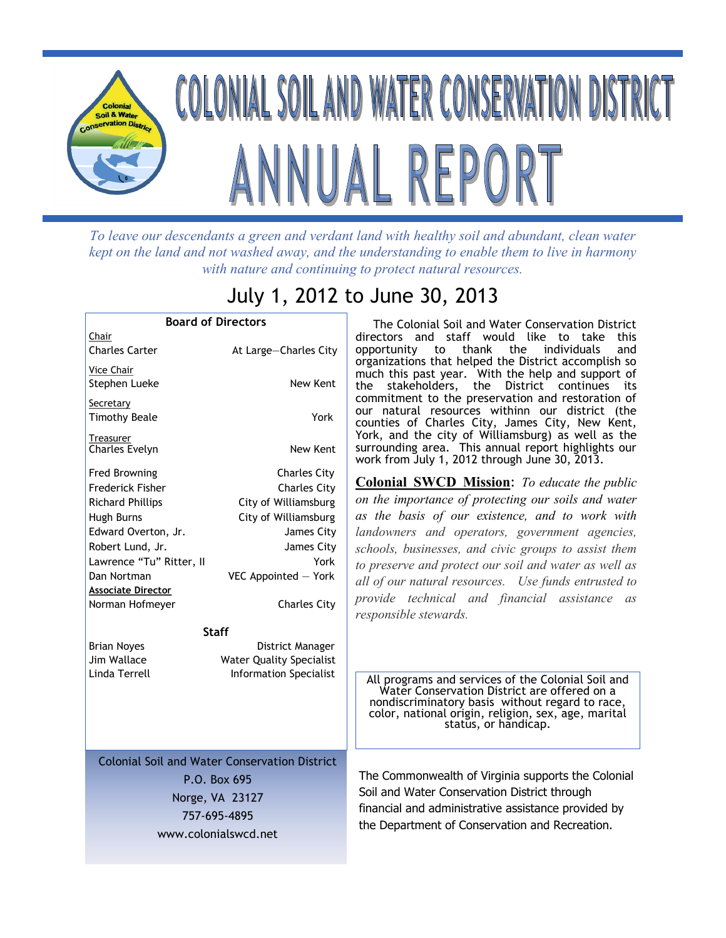

*To leave our descendants a green and verdant land with healthy soil and abundant, clean water kept on the land and not washed away, and the understanding to enable them to live in harmony with nature and continuing to protect natural resources.*

## July 1, 2012 to June 30, 2013

| <b>Board of Directors</b>                                                                                                                                                                                               |                                                                                                                                                                               |  |
|-------------------------------------------------------------------------------------------------------------------------------------------------------------------------------------------------------------------------|-------------------------------------------------------------------------------------------------------------------------------------------------------------------------------|--|
| Chair<br><b>Charles Carter</b>                                                                                                                                                                                          | At Large-Charles City                                                                                                                                                         |  |
| Vice Chair<br>Stephen Lueke                                                                                                                                                                                             | New Kent                                                                                                                                                                      |  |
| Secretary<br><b>Timothy Beale</b>                                                                                                                                                                                       | York                                                                                                                                                                          |  |
| Treasurer<br><b>Charles Evelyn</b>                                                                                                                                                                                      | New Kent                                                                                                                                                                      |  |
| <b>Fred Browning</b><br>Frederick Fisher<br><b>Richard Phillips</b><br>Hugh Burns<br>Edward Overton, Jr.<br>Robert Lund, Jr.<br>Lawrence "Tu" Ritter, II<br>Dan Nortman<br><b>Associate Director</b><br>Norman Hofmeyer | <b>Charles City</b><br><b>Charles City</b><br>City of Williamsburg<br>City of Williamsburg<br>James City<br>James City<br>York<br>VEC Appointed - York<br><b>Charles City</b> |  |
| Staff                                                                                                                                                                                                                   |                                                                                                                                                                               |  |
| <b>Brian Noyes</b><br>Jim Wallace<br>Linda Terrell                                                                                                                                                                      | District Manager<br><b>Water Quality Specialist</b><br><b>Information Specialist</b>                                                                                          |  |
| <b>Colonial Soil and Water Conservation District</b>                                                                                                                                                                    |                                                                                                                                                                               |  |
| P.O. Box 695                                                                                                                                                                                                            |                                                                                                                                                                               |  |
| Norge, VA 23127<br>757-695-4895                                                                                                                                                                                         |                                                                                                                                                                               |  |
| www.colonialswcd.net                                                                                                                                                                                                    |                                                                                                                                                                               |  |
|                                                                                                                                                                                                                         |                                                                                                                                                                               |  |

 The Colonial Soil and Water Conservation District directors and staff would like to take this opportunity to thank the individuals and organizations that helped the District accomplish so much this past year. With the help and support of the stakeholders, the District continues its commitment to the preservation and restoration of our natural resources withinn our district (the counties of Charles City, James City, New Kent, York, and the city of Williamsburg) as well as the surrounding area. This annual report highlights our work from July 1, 2012 through June 30, 2013.

**Colonial SWCD Mission**: *To educate the public on the importance of protecting our soils and water as the basis of our existence, and to work with landowners and operators, government agencies, schools, businesses, and civic groups to assist them to preserve and protect our soil and water as well as all of our natural resources. Use funds entrusted to provide technical and financial assistance as responsible stewards.*

All programs and services of the Colonial Soil and Water Conservation District are offered on a nondiscriminatory basis without regard to race, color, national origin, religion, sex, age, marital status, or handicap.

The Commonwealth of Virginia supports the Colonial Soil and Water Conservation District through financial and administrative assistance provided by the Department of Conservation and Recreation.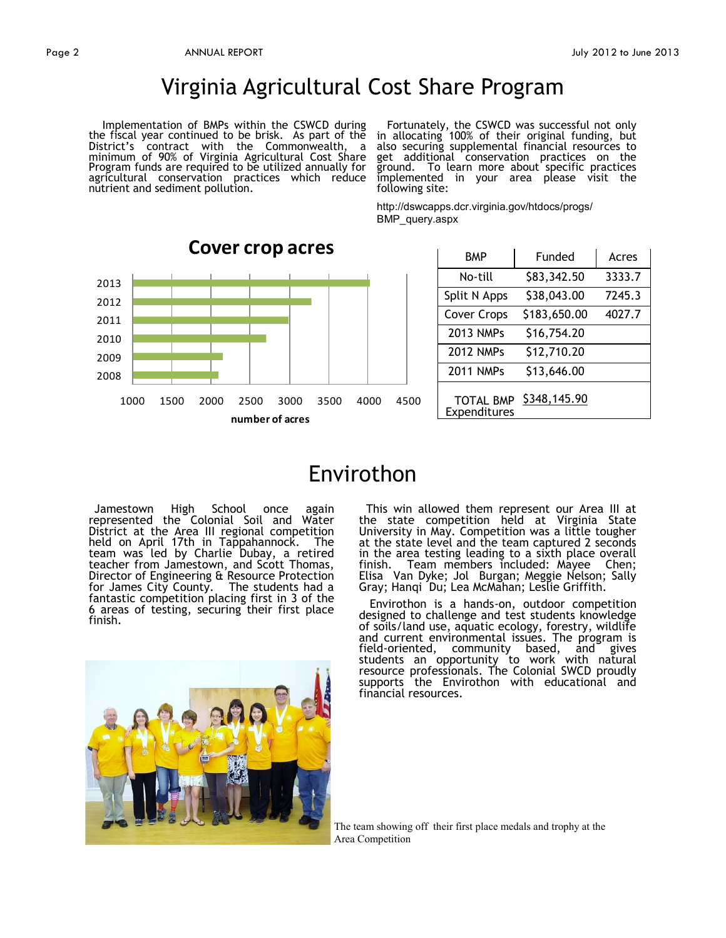## Virginia Agricultural Cost Share Program

 Implementation of BMPs within the CSWCD during the fiscal year continued to be brisk. As part of the District's contract with the Commonwealth, a minimum of 90% of Virginia Agricultural Cost Share Program funds are required to be utilized annually for agricultural conservation practices which reduce nutrient and sediment pollution.

 Fortunately, the CSWCD was successful not only in allocating 100% of their original funding, but also securing supplemental financial resources to get additional conservation practices on the ground. To learn more about specific practices implemented in your area please visit the following site:

http://dswcapps.dcr.virginia.gov/htdocs/progs/ BMP\_query.aspx



| BMP                              | Funded       | Acres  |
|----------------------------------|--------------|--------|
| No-till                          | \$83,342.50  | 3333.7 |
| Split N Apps                     | \$38,043.00  | 7245.3 |
| <b>Cover Crops</b>               | \$183,650.00 | 4027.7 |
| 2013 NMPs                        | \$16,754.20  |        |
| <b>2012 NMPs</b>                 | \$12,710.20  |        |
| <b>2011 NMPs</b>                 | \$13,646.00  |        |
| <b>TOTAL BMP</b><br>Expenditures | \$348,145.90 |        |

## Envirothon

 Jamestown High School once again represented the Colonial Soil and Water District at the Area III regional competition held on April 17th in Tappahannock. The team was led by Charlie Dubay, a retired teacher from Jamestown, and Scott Thomas, Director of Engineering & Resource Protection for James City County. The students had a fantastic competition placing first in 3 of the 6 areas of testing, securing their first place finish.

 This win allowed them represent our Area III at the state competition held at Virginia State University in May. Competition was a little tougher at the state level and the team captured 2 seconds in the area testing leading to a sixth place overall finish. Team members included: Mayee Chen; Elisa Van Dyke; Jol Burgan; Meggie Nelson; Sally Gray; Hanqi Du; Lea McMahan; Leslie Griffith.

 Envirothon is a hands-on, outdoor competition designed to challenge and test students knowledge of soils/land use, aquatic ecology, forestry, wildlife and current environmental issues. The program is field-oriented, community based, and gives students an opportunity to work with natural resource professionals. The Colonial SWCD proudly supports the Envirothon with educational and financial resources.



The team showing off their first place medals and trophy at the Area Competition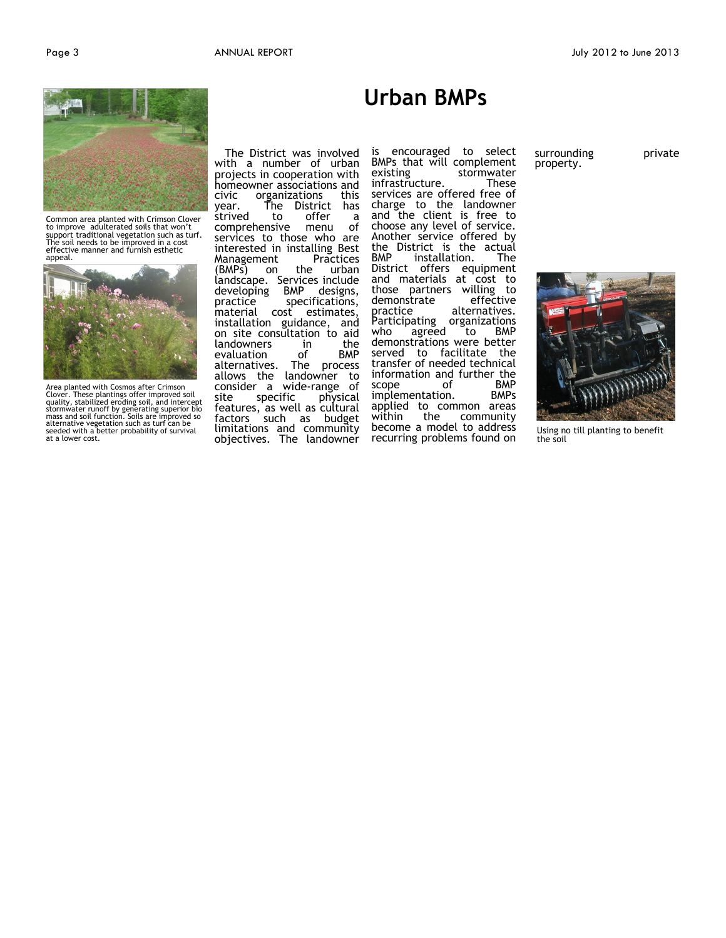

Common area planted with Crimson Clover to improve adulterated soils that won't support traditional vegetation such as turf. The soil needs to be improved in a cost effective manner and furnish esthetic appeal.



Area planted with Cosmos after Crimson Clover. These plantings offer improved soil quality, stabilized eroding soil, and intercept<br>stormwater runoff by generating superior bio<br>mass and soil function. Soils are improved so<br>alternative vegetation such as turf can be<br>seeded with a better probability of surv

 The District was involved with a number of urban projects in cooperation with homeowner associations and civic organizations this The District has strived to offer a<br>comprehensive menu of comprehensive menu services to those who are interested in installing Best Management Practices<br>(BMPs) on the urban on the urban landscape. Services include<br>developing BMP designs, developing practice specifications,<br>material cost estimates, cost estimates, installation guidance, and on site consultation to aid<br>landowners in the landowners in the evaluation of<br>alternatives. The The process allows the landowner to consider a wide-range of site specific physical features, as well as cultural factors such as budget limitations and community objectives. The landowner

is encouraged to select BMPs that will complement<br>existing stormwater stormwater<br>These infrastructure. services are offered free of charge to the landowner and the client is free to choose any level of service. Another service offered by the District is the actual BMP installation. The BMP installation. The<br>District offers equipment and materials at cost to those partners willing to<br>demonstrate effective demonstrate effective<br>practice alternatives. practice alternatives. Participating organizations Participating organizations<br>who agreed to BMP demonstrations were better served to facilitate the transfer of needed technical information and further the<br>scope of BMP scope of BMP<br>
implementation. BMPs implementation. applied to common areas<br>within the community within the community become a model to address recurring problems found on

**Urban BMPs**

surrounding private property.





Using no till planting to benefit the soil